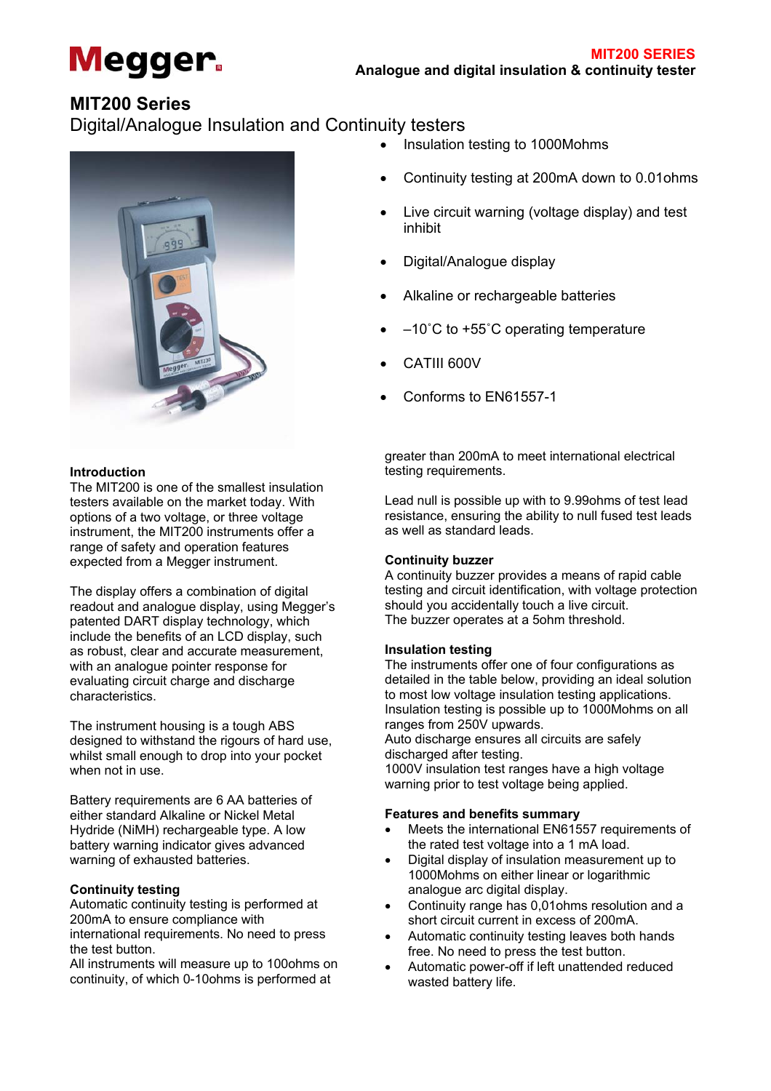

# **MIT200 Series**

Digital/Analogue Insulation and Continuity testers



### **Introduction**

The MIT200 is one of the smallest insulation testers available on the market today. With options of a two voltage, or three voltage instrument, the MIT200 instruments offer a range of safety and operation features expected from a Megger instrument.

The display offers a combination of digital readout and analogue display, using Megger's patented DART display technology, which include the benefits of an LCD display, such as robust, clear and accurate measurement, with an analogue pointer response for evaluating circuit charge and discharge characteristics.

The instrument housing is a tough ABS designed to withstand the rigours of hard use, whilst small enough to drop into your pocket when not in use.

Battery requirements are 6 AA batteries of either standard Alkaline or Nickel Metal Hydride (NiMH) rechargeable type. A low battery warning indicator gives advanced warning of exhausted batteries.

### **Continuity testing**

Automatic continuity testing is performed at 200mA to ensure compliance with international requirements. No need to press the test button.

All instruments will measure up to 100ohms on continuity, of which 0-10ohms is performed at

- Insulation testing to 1000Mohms
- Continuity testing at 200mA down to 0.01ohms
- Live circuit warning (voltage display) and test inhibit
- Digital/Analogue display
- Alkaline or rechargeable batteries
- –10˚C to +55˚C operating temperature
- CATIII 600V
- Conforms to EN61557-1

greater than 200mA to meet international electrical testing requirements.

Lead null is possible up with to 9.99ohms of test lead resistance, ensuring the ability to null fused test leads as well as standard leads.

#### **Continuity buzzer**

A continuity buzzer provides a means of rapid cable testing and circuit identification, with voltage protection should you accidentally touch a live circuit. The buzzer operates at a 5ohm threshold.

#### **Insulation testing**

The instruments offer one of four configurations as detailed in the table below, providing an ideal solution to most low voltage insulation testing applications. Insulation testing is possible up to 1000Mohms on all ranges from 250V upwards.

Auto discharge ensures all circuits are safely discharged after testing.

1000V insulation test ranges have a high voltage warning prior to test voltage being applied.

### **Features and benefits summary**

- Meets the international EN61557 requirements of the rated test voltage into a 1 mA load.
- Digital display of insulation measurement up to 1000Mohms on either linear or logarithmic analogue arc digital display.
- Continuity range has 0,01ohms resolution and a short circuit current in excess of 200mA.
- Automatic continuity testing leaves both hands free. No need to press the test button.
- Automatic power-off if left unattended reduced wasted battery life.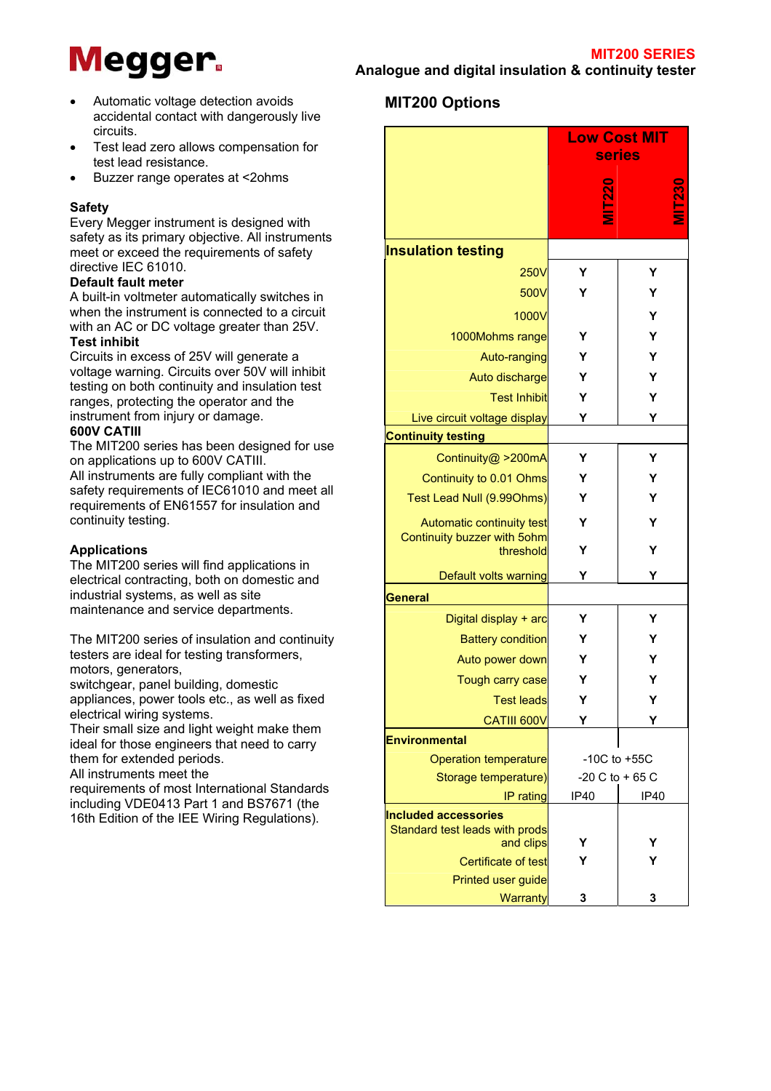- **Megger.** Analogue and digital insulation & continuity tester **MIT200**
- Automatic voltage detection avoids accidental contact with dangerously live circuits.
- Test lead zero allows compensation for test lead resistance.
- Buzzer range operates at <2ohms

### **Safety**

Every Megger instrument is designed with safety as its primary objective. All instruments meet or exceed the requirements of safety directive IEC 61010.

#### **Default fault meter**

A built-in voltmeter automatically switches in when the instrument is connected to a circuit with an AC or DC voltage greater than 25V.

# **Test inhibit**

Circuits in excess of 25V will generate a voltage warning. Circuits over 50V will inhibit testing on both continuity and insulation test ranges, protecting the operator and the instrument from injury or damage.

#### **600V CATIII**

The MIT200 series has been designed for use on applications up to 600V CATIII. All instruments are fully compliant with the safety requirements of IEC61010 and meet all requirements of EN61557 for insulation and continuity testing.

### **Applications**

The MIT200 series will find applications in electrical contracting, both on domestic and industrial systems, as well as site maintenance and service departments.

The MIT200 series of insulation and continuity testers are ideal for testing transformers, motors, generators,

switchgear, panel building, domestic appliances, power tools etc., as well as fixed

electrical wiring systems. Their small size and light weight make them

ideal for those engineers that need to carry them for extended periods.

All instruments meet the

requirements of most International Standards including VDE0413 Part 1 and BS7671 (the 16th Edition of the IEE Wiring Regulations).

# **MIT200 Options**

|                                                               | <b>Low Cost MIT</b> |      |
|---------------------------------------------------------------|---------------------|------|
|                                                               | <b>series</b>       |      |
|                                                               | <b>[220</b>         |      |
| <b>Insulation testing</b>                                     |                     |      |
| <b>250V</b>                                                   | Υ                   | Υ    |
| 500V                                                          | Υ                   | Υ    |
| 1000V                                                         |                     | Υ    |
| 1000Mohms range                                               | Υ                   | Υ    |
| Auto-ranging                                                  | Υ                   | Y    |
| Auto discharge                                                | Υ                   | Υ    |
| <b>Test Inhibit</b>                                           | Υ                   | Υ    |
| Live circuit voltage display                                  | Y                   | Υ    |
| <b>Continuity testing</b>                                     |                     |      |
| Continuity@ >200mA                                            | Υ                   | Y    |
| Continuity to 0.01 Ohms                                       | Y                   | Υ    |
| Test Lead Null (9.990hms)                                     | Υ                   | Υ    |
| Automatic continuity test                                     | Υ                   | Y    |
| Continuity buzzer with 5ohm                                   |                     |      |
| threshold                                                     | Υ                   | Υ    |
| Default volts warning                                         | Υ                   | Υ    |
| General                                                       |                     |      |
| Digital display + arc                                         | Υ                   | Υ    |
| <b>Battery condition</b>                                      | Υ                   | Υ    |
| Auto power down                                               | Υ                   | Υ    |
| Tough carry case                                              | Υ                   | Y    |
| <b>Test leads</b>                                             | Υ                   | Υ    |
| CATIII 600V                                                   | Υ                   | Υ    |
| <b>Environmental</b>                                          |                     |      |
| <b>Operation temperature</b>                                  | $-10C$ to $+55C$    |      |
| Storage temperature)                                          | $-20$ C to $+65$ C  |      |
| IP rating                                                     | IP40                | IP40 |
| <b>Included accessories</b><br>Standard test leads with prods |                     |      |
| and clips                                                     | Y                   | Y    |
| Certificate of test                                           |                     | Y    |
| Printed user guide                                            |                     |      |
| Warranty                                                      | 3                   | 3    |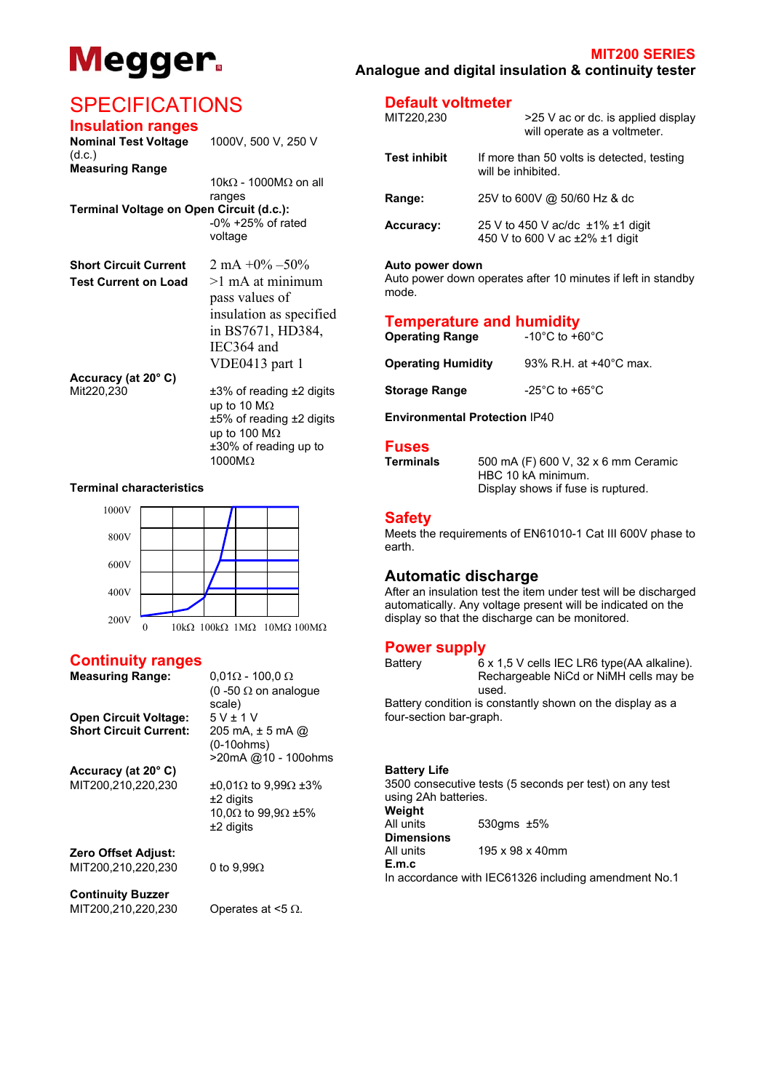

#### **MIT200 SERIES Megger.** Analogue and digital insulation & continuity tester **MIT200**

# **SPECIFICATIONS** Default voltmeter

## **Insulation ranges**

| <b>Nominal Test Voltage</b>              | 1000V, 500 V, 250 V                                        |                                                           | will operate as                                    |
|------------------------------------------|------------------------------------------------------------|-----------------------------------------------------------|----------------------------------------------------|
| (d.c.)<br><b>Measuring Range</b>         |                                                            | <b>Test inhibit</b>                                       | If more than 50 volts is d<br>will be inhibited.   |
|                                          | 10kΩ - 1000MΩ on all                                       |                                                           |                                                    |
|                                          | ranges                                                     | Range:                                                    | 25V to 600V @ 50/60 Hz                             |
| Terminal Voltage on Open Circuit (d.c.): |                                                            |                                                           |                                                    |
|                                          | $-0\% +25\%$ of rated<br>voltage                           | <b>Accuracy:</b>                                          | 25 V to 450 V ac/dc ±19<br>450 V to 600 V ac ±2% ± |
| <b>Short Circuit Current</b>             | 2 mA $+0\% -50\%$                                          | Auto power down                                           |                                                    |
| <b>Test Current on Load</b>              | $>1$ mA at minimum<br>pass values of                       | mode.                                                     | Auto power down operates after 10 minute           |
|                                          | insulation as specified<br>in BS7671, HD384,<br>IEC364 and | <b>Temperature and humidity</b><br><b>Operating Range</b> | -10 $^{\circ}$ C to +60 $^{\circ}$ C               |
|                                          | VDE0413 part 1                                             | <b>Operating Humidity</b>                                 | 93% R.H. at +4                                     |
| Accuracy (at 20° C)                      |                                                            |                                                           |                                                    |
| Mit220,230                               | $±3\%$ of reading $±2$ digits<br>up to 10 $\text{M}\Omega$ | <b>Storage Range</b>                                      | -25 $^{\circ}$ C to +65 $^{\circ}$ C               |
|                                          | $±5\%$ of reading $±2$ digits<br>up to 100 $M\Omega$       | <b>Environmental Protection IP40</b>                      |                                                    |
|                                          | ±30% of reading up to                                      | <b>Fuses</b>                                              |                                                    |
|                                          | 1000MΩ                                                     | <b>Terminals</b>                                          | 500 mA (F) 600 V, 32 x                             |



| <b>Measuring Range:</b>       | $0.01\Omega$ - 100.0 $\Omega$              |                           | Recha |
|-------------------------------|--------------------------------------------|---------------------------|-------|
|                               | $(0 - 50 \Omega$ on analogue               |                           | used. |
|                               | scale)                                     | Battery condition is cons |       |
| <b>Open Circuit Voltage:</b>  | $5V \pm 1V$                                | four-section bar-graph.   |       |
| <b>Short Circuit Current:</b> | 205 mA, $\pm$ 5 mA $\omega$                |                           |       |
|                               | $(0-10 ohms)$                              |                           |       |
|                               | >20mA @10 - 100ohms                        |                           |       |
| Accuracy (at 20° C)           |                                            | <b>Battery Life</b>       |       |
| MIT200,210,220,230            | $\pm 0.01 \Omega$ to 9.99 $\Omega \pm 3\%$ | 3500 consecutive tests (  |       |
|                               | $±2$ digits                                | using 2Ah batteries.      |       |
|                               | 10.0 $\Omega$ to 99.9 $\Omega$ ±5%         | Weight                    |       |
|                               | $±2$ digits                                | All units                 | 530gn |
|                               |                                            | <b>Dimensions</b>         |       |
| <b>Zero Offset Adjust:</b>    |                                            | All units                 | 195x  |
| MIT200,210,220,230            | 0 to $9.99\Omega$                          | E.m.c                     |       |
|                               |                                            | In accordance with IEC6   |       |
| <b>Continuity Buzzer</b>      |                                            |                           |       |
| MIT200,210,220,230            | Operates at $<$ 5 $\Omega$ .               |                           |       |
|                               |                                            |                           |       |

| UF LUILIUATIUNU<br><b>Insulation ranges</b><br><b>Nominal Test Voltage</b> | 1000V, 500 V, 250 V                  | MIT220,230          | >25 V ac or dc. is applied display<br>will operate as a voltmeter.                      |
|----------------------------------------------------------------------------|--------------------------------------|---------------------|-----------------------------------------------------------------------------------------|
| (d.c.)<br><b>Measuring Range</b>                                           | 10k $\Omega$ - 1000M $\Omega$ on all | <b>Test inhibit</b> | If more than 50 volts is detected, testing<br>will be inhibited.                        |
| Terminal Voltage on Open Circuit (d.c.):                                   | ranges                               | Range:              | 25V to 600V @ 50/60 Hz & dc                                                             |
|                                                                            | $-0\% + 25\%$ of rated<br>voltage    | <b>Accuracy:</b>    | 25 V to 450 V ac/dc $\pm$ 1% $\pm$ 1 digit<br>450 V to 600 V ac $\pm 2\%$ $\pm 1$ digit |
| $2.61 \pm 2.5$ $2.7 \pm 2.5$ $2.7 \pm 1.00$ $7.700$                        |                                      |                     |                                                                                         |

# **Auto power down**

Auto power down operates after 10 minutes if left in standby mode.

## **Temperature and humidity**

| <b>Operating Range</b>    | $-10^{\circ}$ C to $+60^{\circ}$ C |
|---------------------------|------------------------------------|
| <b>Operating Humidity</b> | 93% R.H. at +40°C max.             |
| <b>Storage Range</b>      | $-25^{\circ}$ C to $+65^{\circ}$ C |
|                           |                                    |

1000MΩ **Terminals** 500 mA (F) 600 V, 32 x 6 mm Ceramic HBC 10 kA minimum. **Terminal characteristics Display shows if fuse is ruptured.** 

### **Safety**

Meets the requirements of EN61010-1 Cat III 600V phase to earth.

### **Automatic discharge**

After an insulation test the item under test will be discharged automatically. Any voltage present will be indicated on the display so that the discharge can be monitored.

**Power supply**<br>
Battery 6 x 1,5 V cells IEC LR6 type(AA alkaline). Rechargeable NiCd or NiMH cells may be

> Battery condition is constantly shown on the display as a four-section bar-graph.

| Battery Life |  |
|--------------|--|
|              |  |

3500 consecutive tests (5 seconds per test) on any test using 2Ah batteries. **Weight**<br>All units  $530$ gms  $±5%$ **Dimensions Zero All units** 195 x 98 x 40mm<br>**E.m.c** In accordance with IEC61326 including amendment No.1